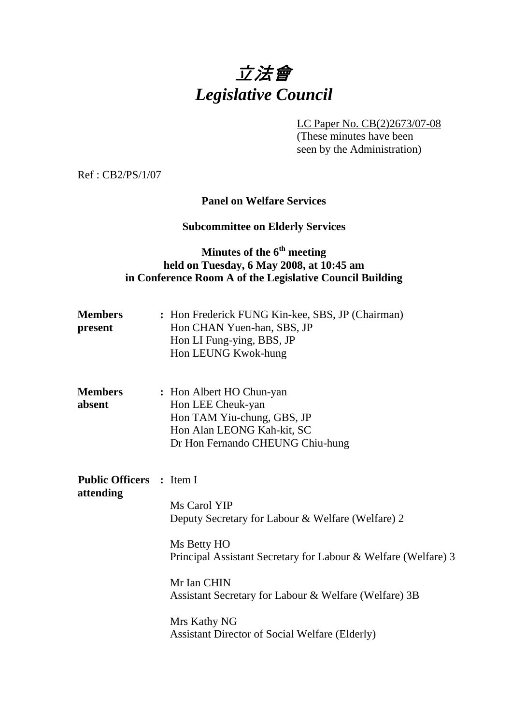# 立法會 *Legislative Council*

LC Paper No. CB(2)2673/07-08

 (These minutes have been seen by the Administration)

Ref : CB2/PS/1/07

#### **Panel on Welfare Services**

## **Subcommittee on Elderly Services**

# **Minutes of the 6th meeting held on Tuesday, 6 May 2008, at 10:45 am in Conference Room A of the Legislative Council Building**

| <b>Members</b><br>present             | : Hon Frederick FUNG Kin-kee, SBS, JP (Chairman)<br>Hon CHAN Yuen-han, SBS, JP<br>Hon LI Fung-ying, BBS, JP<br>Hon LEUNG Kwok-hung                                                                                                                                                                  |
|---------------------------------------|-----------------------------------------------------------------------------------------------------------------------------------------------------------------------------------------------------------------------------------------------------------------------------------------------------|
| <b>Members</b><br>absent              | : Hon Albert HO Chun-yan<br>Hon LEE Cheuk-yan<br>Hon TAM Yiu-chung, GBS, JP<br>Hon Alan LEONG Kah-kit, SC<br>Dr Hon Fernando CHEUNG Chiu-hung                                                                                                                                                       |
| Public Officers : Item I<br>attending | Ms Carol YIP<br>Deputy Secretary for Labour & Welfare (Welfare) 2<br>Ms Betty HO<br>Principal Assistant Secretary for Labour & Welfare (Welfare) 3<br>Mr Ian CHIN<br>Assistant Secretary for Labour & Welfare (Welfare) 3B<br>Mrs Kathy NG<br><b>Assistant Director of Social Welfare (Elderly)</b> |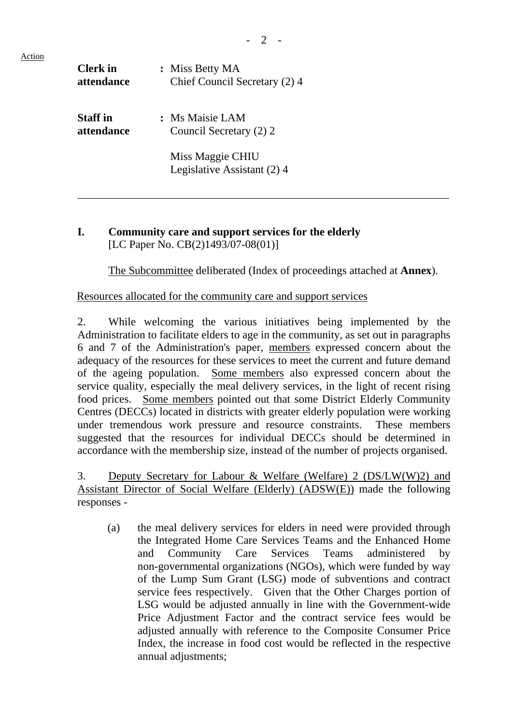- 2 -

| <b>Clerk</b> in   | : Miss Betty MA                                 |
|-------------------|-------------------------------------------------|
| attendance        | Chief Council Secretary (2) 4                   |
| <b>Staff</b> in   | : Ms Maisie LAM                                 |
| <i>attendance</i> | Council Secretary (2) 2                         |
|                   | Miss Maggie CHIU<br>Legislative Assistant (2) 4 |

## **I. Community care and support services for the elderly** [LC Paper No. CB(2)1493/07-08(01)]

1. The Subcommittee deliberated (Index of proceedings attached at **Annex**).

## Resources allocated for the community care and support services

2. While welcoming the various initiatives being implemented by the Administration to facilitate elders to age in the community, as set out in paragraphs 6 and 7 of the Administration's paper, members expressed concern about the adequacy of the resources for these services to meet the current and future demand of the ageing population. Some members also expressed concern about the service quality, especially the meal delivery services, in the light of recent rising food prices. Some members pointed out that some District Elderly Community Centres (DECCs) located in districts with greater elderly population were working under tremendous work pressure and resource constraints. These members suggested that the resources for individual DECCs should be determined in accordance with the membership size, instead of the number of projects organised.

3. Deputy Secretary for Labour & Welfare (Welfare) 2 (DS/LW(W)2) and Assistant Director of Social Welfare (Elderly) (ADSW(E)) made the following responses -

(a) the meal delivery services for elders in need were provided through the Integrated Home Care Services Teams and the Enhanced Home and Community Care Services Teams administered by non-governmental organizations (NGOs), which were funded by way of the Lump Sum Grant (LSG) mode of subventions and contract service fees respectively. Given that the Other Charges portion of LSG would be adjusted annually in line with the Government-wide Price Adjustment Factor and the contract service fees would be adjusted annually with reference to the Composite Consumer Price Index, the increase in food cost would be reflected in the respective annual adjustments;

Action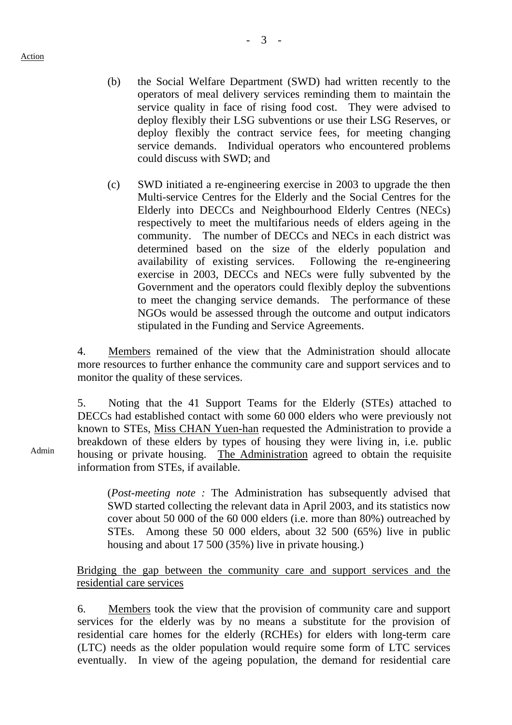- (b) the Social Welfare Department (SWD) had written recently to the operators of meal delivery services reminding them to maintain the service quality in face of rising food cost. They were advised to deploy flexibly their LSG subventions or use their LSG Reserves, or deploy flexibly the contract service fees, for meeting changing service demands. Individual operators who encountered problems could discuss with SWD; and
- (c) SWD initiated a re-engineering exercise in 2003 to upgrade the then Multi-service Centres for the Elderly and the Social Centres for the Elderly into DECCs and Neighbourhood Elderly Centres (NECs) respectively to meet the multifarious needs of elders ageing in the community. The number of DECCs and NECs in each district was determined based on the size of the elderly population and availability of existing services. Following the re-engineering exercise in 2003, DECCs and NECs were fully subvented by the Government and the operators could flexibly deploy the subventions to meet the changing service demands. The performance of these NGOs would be assessed through the outcome and output indicators stipulated in the Funding and Service Agreements.

4. Members remained of the view that the Administration should allocate more resources to further enhance the community care and support services and to monitor the quality of these services.

5. Noting that the 41 Support Teams for the Elderly (STEs) attached to DECCs had established contact with some 60,000 elders who were previously not known to STEs, Miss CHAN Yuen-han requested the Administration to provide a breakdown of these elders by types of housing they were living in, i.e. public housing or private housing. The Administration agreed to obtain the requisite information from STEs, if available.

(*Post-meeting note :* The Administration has subsequently advised that SWD started collecting the relevant data in April 2003, and its statistics now cover about 50 000 of the 60 000 elders (i.e. more than 80%) outreached by STEs. Among these 50 000 elders, about 32 500 (65%) live in public housing and about 17 500 (35%) live in private housing.)

#### Bridging the gap between the community care and support services and the residential care services

6. Members took the view that the provision of community care and support services for the elderly was by no means a substitute for the provision of residential care homes for the elderly (RCHEs) for elders with long-term care (LTC) needs as the older population would require some form of LTC services eventually. In view of the ageing population, the demand for residential care

Admin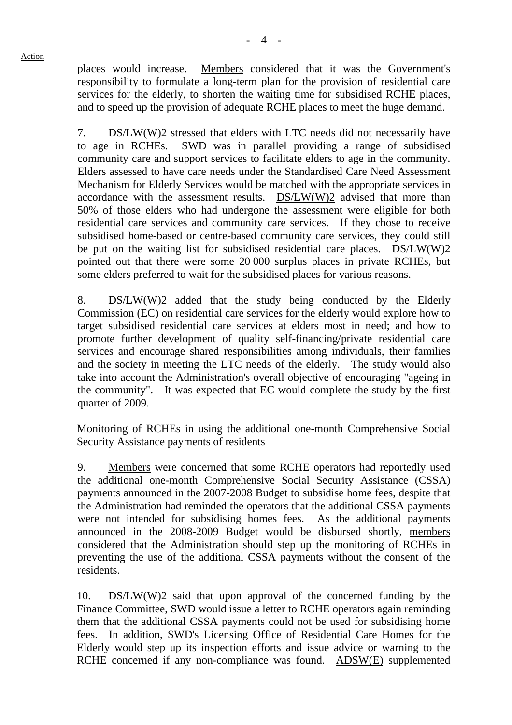Action

services for the elderly, to shorten the waiting time for subsidised RCHE places, and to speed up the provision of adequate RCHE places to meet the huge demand.

7. DS/LW(W)2 stressed that elders with LTC needs did not necessarily have to age in RCHEs. SWD was in parallel providing a range of subsidised community care and support services to facilitate elders to age in the community. Elders assessed to have care needs under the Standardised Care Need Assessment Mechanism for Elderly Services would be matched with the appropriate services in accordance with the assessment results. DS/LW(W)2 advised that more than 50% of those elders who had undergone the assessment were eligible for both residential care services and community care services. If they chose to receive subsidised home-based or centre-based community care services, they could still be put on the waiting list for subsidised residential care places. DS/LW(W)2 pointed out that there were some 20,000 surplus places in private RCHEs, but some elders preferred to wait for the subsidised places for various reasons.

8. DS/LW(W)2 added that the study being conducted by the Elderly Commission (EC) on residential care services for the elderly would explore how to target subsidised residential care services at elders most in need; and how to promote further development of quality self-financing/private residential care services and encourage shared responsibilities among individuals, their families and the society in meeting the LTC needs of the elderly. The study would also take into account the Administration's overall objective of encouraging "ageing in the community". It was expected that EC would complete the study by the first quarter of 2009.

Monitoring of RCHEs in using the additional one-month Comprehensive Social Security Assistance payments of residents

9. Members were concerned that some RCHE operators had reportedly used the additional one-month Comprehensive Social Security Assistance (CSSA) payments announced in the 2007-2008 Budget to subsidise home fees, despite that the Administration had reminded the operators that the additional CSSA payments were not intended for subsidising homes fees. As the additional payments announced in the 2008-2009 Budget would be disbursed shortly, members considered that the Administration should step up the monitoring of RCHEs in preventing the use of the additional CSSA payments without the consent of the residents.

10. DS/LW(W)2 said that upon approval of the concerned funding by the Finance Committee, SWD would issue a letter to RCHE operators again reminding them that the additional CSSA payments could not be used for subsidising home fees. In addition, SWD's Licensing Office of Residential Care Homes for the Elderly would step up its inspection efforts and issue advice or warning to the RCHE concerned if any non-compliance was found. ADSW(E) supplemented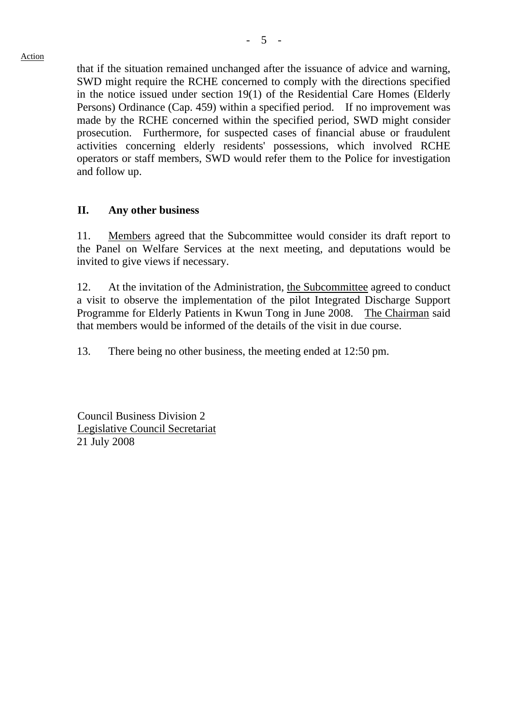Action

that if the situation remained unchanged after the issuance of advice and warning, SWD might require the RCHE concerned to comply with the directions specified in the notice issued under section 19(1) of the Residential Care Homes (Elderly Persons) Ordinance (Cap. 459) within a specified period. If no improvement was made by the RCHE concerned within the specified period, SWD might consider prosecution. Furthermore, for suspected cases of financial abuse or fraudulent activities concerning elderly residents' possessions, which involved RCHE operators or staff members, SWD would refer them to the Police for investigation and follow up.

## **II. Any other business**

11. Members agreed that the Subcommittee would consider its draft report to the Panel on Welfare Services at the next meeting, and deputations would be invited to give views if necessary.

12. At the invitation of the Administration, the Subcommittee agreed to conduct a visit to observe the implementation of the pilot Integrated Discharge Support Programme for Elderly Patients in Kwun Tong in June 2008. The Chairman said that members would be informed of the details of the visit in due course.

13. There being no other business, the meeting ended at 12:50 pm.

Council Business Division 2 Legislative Council Secretariat 21 July 2008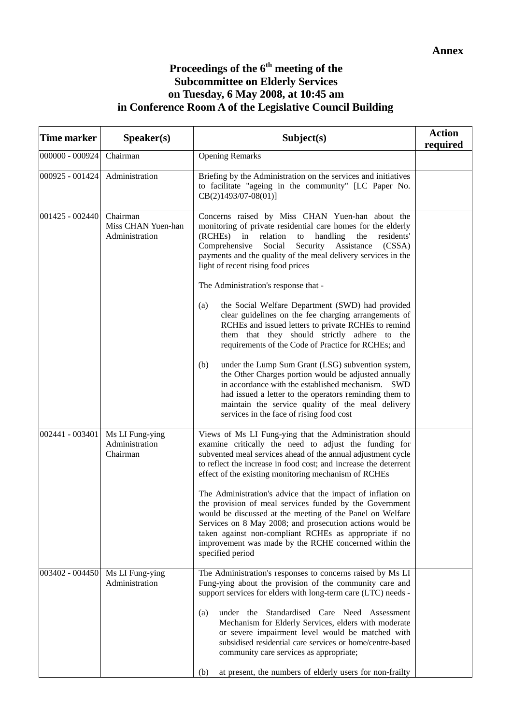## **Proceedings of the 6th meeting of the Subcommittee on Elderly Services on Tuesday, 6 May 2008, at 10:45 am in Conference Room A of the Legislative Council Building**

| <b>Time marker</b> | S <sub>p</sub> e <sub>aker</sub> (s)             | Subject(s)                                                                                                                                                                                                                                                                                                                                                                                                                                                                                                                                                                                                                                                                                             | <b>Action</b><br>required |
|--------------------|--------------------------------------------------|--------------------------------------------------------------------------------------------------------------------------------------------------------------------------------------------------------------------------------------------------------------------------------------------------------------------------------------------------------------------------------------------------------------------------------------------------------------------------------------------------------------------------------------------------------------------------------------------------------------------------------------------------------------------------------------------------------|---------------------------|
| 000000 - 000924    | Chairman                                         | <b>Opening Remarks</b>                                                                                                                                                                                                                                                                                                                                                                                                                                                                                                                                                                                                                                                                                 |                           |
| 000925 - 001424    | Administration                                   | Briefing by the Administration on the services and initiatives<br>to facilitate "ageing in the community" [LC Paper No.<br>$CB(2)1493/07-08(01)$                                                                                                                                                                                                                                                                                                                                                                                                                                                                                                                                                       |                           |
| 001425 - 002440    | Chairman<br>Miss CHAN Yuen-han<br>Administration | Concerns raised by Miss CHAN Yuen-han about the<br>monitoring of private residential care homes for the elderly<br>(RCHEs)<br>in<br>handling<br>the<br>relation<br>to<br>residents'<br>Security Assistance<br>Comprehensive<br>Social<br>(CSSA)<br>payments and the quality of the meal delivery services in the<br>light of recent rising food prices<br>The Administration's response that -<br>the Social Welfare Department (SWD) had provided<br>(a)<br>clear guidelines on the fee charging arrangements of                                                                                                                                                                                      |                           |
|                    |                                                  | RCHEs and issued letters to private RCHEs to remind<br>them that they should strictly adhere to the<br>requirements of the Code of Practice for RCHEs; and<br>under the Lump Sum Grant (LSG) subvention system,<br>(b)<br>the Other Charges portion would be adjusted annually<br>in accordance with the established mechanism. SWD<br>had issued a letter to the operators reminding them to<br>maintain the service quality of the meal delivery<br>services in the face of rising food cost                                                                                                                                                                                                         |                           |
| 002441 - 003401    | Ms LI Fung-ying<br>Administration<br>Chairman    | Views of Ms LI Fung-ying that the Administration should<br>examine critically the need to adjust the funding for<br>subvented meal services ahead of the annual adjustment cycle<br>to reflect the increase in food cost; and increase the deterrent<br>effect of the existing monitoring mechanism of RCHEs<br>The Administration's advice that the impact of inflation on<br>the provision of meal services funded by the Government<br>would be discussed at the meeting of the Panel on Welfare<br>Services on 8 May 2008; and prosecution actions would be<br>taken against non-compliant RCHEs as appropriate if no<br>improvement was made by the RCHE concerned within the<br>specified period |                           |
| 003402 - 004450    | Ms LI Fung-ying<br>Administration                | The Administration's responses to concerns raised by Ms LI<br>Fung-ying about the provision of the community care and<br>support services for elders with long-term care (LTC) needs -<br>under the Standardised Care Need Assessment<br>(a)<br>Mechanism for Elderly Services, elders with moderate<br>or severe impairment level would be matched with<br>subsidised residential care services or home/centre-based<br>community care services as appropriate;<br>at present, the numbers of elderly users for non-frailty<br>(b)                                                                                                                                                                    |                           |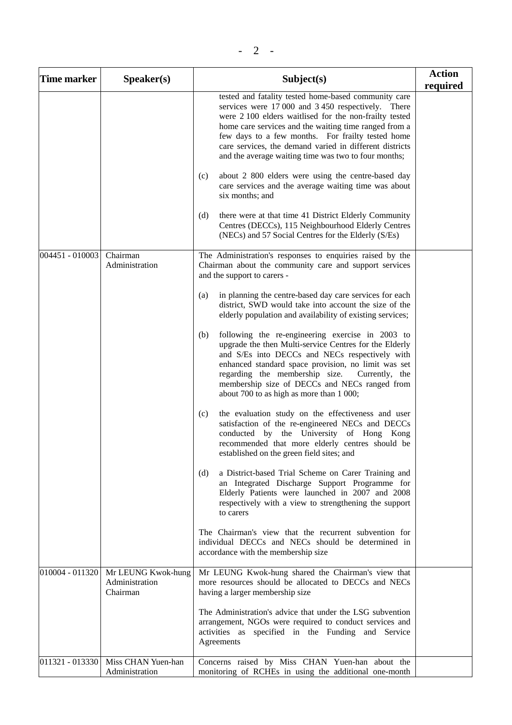| <b>Time marker</b> | $Speaker(s)$                                     | Subject(s)                                                                                                                                                                                                                                                                                                                                                                                            | <b>Action</b><br>required |
|--------------------|--------------------------------------------------|-------------------------------------------------------------------------------------------------------------------------------------------------------------------------------------------------------------------------------------------------------------------------------------------------------------------------------------------------------------------------------------------------------|---------------------------|
|                    |                                                  | tested and fatality tested home-based community care<br>services were 17 000 and 3 450 respectively. There<br>were 2 100 elders waitlised for the non-frailty tested<br>home care services and the waiting time ranged from a<br>few days to a few months. For frailty tested home<br>care services, the demand varied in different districts<br>and the average waiting time was two to four months; |                           |
|                    |                                                  | about 2 800 elders were using the centre-based day<br>(c)<br>care services and the average waiting time was about<br>six months; and                                                                                                                                                                                                                                                                  |                           |
|                    |                                                  | there were at that time 41 District Elderly Community<br>(d)<br>Centres (DECCs), 115 Neighbourhood Elderly Centres<br>(NECs) and 57 Social Centres for the Elderly (S/Es)                                                                                                                                                                                                                             |                           |
| 004451 - 010003    | Chairman<br>Administration                       | The Administration's responses to enquiries raised by the<br>Chairman about the community care and support services<br>and the support to carers -                                                                                                                                                                                                                                                    |                           |
|                    |                                                  | in planning the centre-based day care services for each<br>(a)<br>district, SWD would take into account the size of the<br>elderly population and availability of existing services;                                                                                                                                                                                                                  |                           |
|                    |                                                  | following the re-engineering exercise in 2003 to<br>(b)<br>upgrade the then Multi-service Centres for the Elderly<br>and S/Es into DECCs and NECs respectively with<br>enhanced standard space provision, no limit was set<br>regarding the membership size.<br>Currently, the<br>membership size of DECCs and NECs ranged from<br>about 700 to as high as more than 1 000;                           |                           |
|                    |                                                  | the evaluation study on the effectiveness and user<br>(c)<br>satisfaction of the re-engineered NECs and DECCs<br>conducted by the University of Hong Kong<br>recommended that more elderly centres should be<br>established on the green field sites; and                                                                                                                                             |                           |
|                    |                                                  | a District-based Trial Scheme on Carer Training and<br>(d)<br>an Integrated Discharge Support Programme for<br>Elderly Patients were launched in 2007 and 2008<br>respectively with a view to strengthening the support<br>to carers                                                                                                                                                                  |                           |
|                    |                                                  | The Chairman's view that the recurrent subvention for<br>individual DECCs and NECs should be determined in<br>accordance with the membership size                                                                                                                                                                                                                                                     |                           |
| 010004 - 011320    | Mr LEUNG Kwok-hung<br>Administration<br>Chairman | Mr LEUNG Kwok-hung shared the Chairman's view that<br>more resources should be allocated to DECCs and NECs<br>having a larger membership size                                                                                                                                                                                                                                                         |                           |
|                    |                                                  | The Administration's advice that under the LSG subvention<br>arrangement, NGOs were required to conduct services and<br>activities as specified in the Funding and Service<br>Agreements                                                                                                                                                                                                              |                           |
| 011321 - 013330    | Miss CHAN Yuen-han<br>Administration             | Concerns raised by Miss CHAN Yuen-han about the<br>monitoring of RCHEs in using the additional one-month                                                                                                                                                                                                                                                                                              |                           |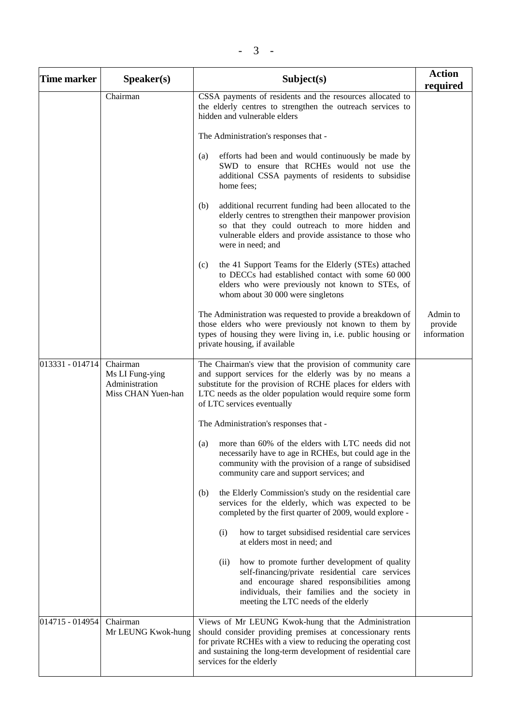| <b>Time marker</b> | S <sub>p</sub> e <sub>aker</sub> (s)                                | Subject(s)                                                                                                                                                                                                                                                                   | <b>Action</b><br>required          |
|--------------------|---------------------------------------------------------------------|------------------------------------------------------------------------------------------------------------------------------------------------------------------------------------------------------------------------------------------------------------------------------|------------------------------------|
|                    | Chairman                                                            | CSSA payments of residents and the resources allocated to<br>the elderly centres to strengthen the outreach services to<br>hidden and vulnerable elders                                                                                                                      |                                    |
|                    |                                                                     | The Administration's responses that -                                                                                                                                                                                                                                        |                                    |
|                    |                                                                     | efforts had been and would continuously be made by<br>(a)<br>SWD to ensure that RCHEs would not use the<br>additional CSSA payments of residents to subsidise<br>home fees;                                                                                                  |                                    |
|                    |                                                                     | (b)<br>additional recurrent funding had been allocated to the<br>elderly centres to strengthen their manpower provision<br>so that they could outreach to more hidden and<br>vulnerable elders and provide assistance to those who<br>were in need; and                      |                                    |
|                    |                                                                     | (c)<br>the 41 Support Teams for the Elderly (STEs) attached<br>to DECCs had established contact with some 60 000<br>elders who were previously not known to STEs, of<br>whom about 30 000 were singletons                                                                    |                                    |
|                    |                                                                     | The Administration was requested to provide a breakdown of<br>those elders who were previously not known to them by<br>types of housing they were living in, i.e. public housing or<br>private housing, if available                                                         | Admin to<br>provide<br>information |
| 013331 - 014714    | Chairman<br>Ms LI Fung-ying<br>Administration<br>Miss CHAN Yuen-han | The Chairman's view that the provision of community care<br>and support services for the elderly was by no means a<br>substitute for the provision of RCHE places for elders with<br>LTC needs as the older population would require some form<br>of LTC services eventually |                                    |
|                    |                                                                     | The Administration's responses that -                                                                                                                                                                                                                                        |                                    |
|                    |                                                                     | more than 60% of the elders with LTC needs did not<br>(a)<br>necessarily have to age in RCHEs, but could age in the<br>community with the provision of a range of subsidised<br>community care and support services; and                                                     |                                    |
|                    |                                                                     | the Elderly Commission's study on the residential care<br>(b)<br>services for the elderly, which was expected to be<br>completed by the first quarter of 2009, would explore -                                                                                               |                                    |
|                    |                                                                     | (i)<br>how to target subsidised residential care services<br>at elders most in need; and                                                                                                                                                                                     |                                    |
|                    |                                                                     | (ii)<br>how to promote further development of quality<br>self-financing/private residential care services<br>and encourage shared responsibilities among<br>individuals, their families and the society in<br>meeting the LTC needs of the elderly                           |                                    |
| 014715 - 014954    | Chairman<br>Mr LEUNG Kwok-hung                                      | Views of Mr LEUNG Kwok-hung that the Administration<br>should consider providing premises at concessionary rents<br>for private RCHEs with a view to reducing the operating cost<br>and sustaining the long-term development of residential care<br>services for the elderly |                                    |